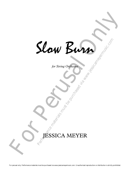Slaw Burn<br>For Suing Orchestrals Mustanger<br>SESSICA MEYER Slow Burn Slow Bu

*for String Orchestra*

## JESSICA MEYER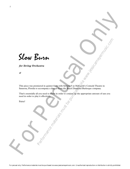Slow Burn

*for String Orchestra*

**4'**

This piece was premiered in quintet form with Sybarite5 at McCurdy's Comedy Theatre in Sarasota, Florida to accompany a dancer from the Black Diamond Burlesque company.

**Performance materials must be purchased via www.jessicamegraphy.org/2019**<br>
Must also a material in quinter from with Sybanites at MeGurdy's Connedy Theatre in<br>
accompany a dance from the Black Diamond Burksque company.<br>
W SLOW BUYLE <br>
For String Onclusion<br>  $\begin{pmatrix} 1 & 0 & 0 \\ 0 & 0 & 0 \\ 0 & 0 & 0 \\ 0 & 0 & 0 \\ 0 & 0 & 0 \\ 0 & 0 & 0 \\ 0 & 0 & 0 \\ 0 & 0 & 0 \\ 0 & 0 & 0 \\ 0 & 0 & 0 \\ 0 & 0 & 0 \\ 0 & 0 & 0 \\ 0 & 0 & 0 \\ 0 & 0 & 0 \\ 0 & 0 & 0 \\ 0 & 0 & 0 \\ 0 & 0 & 0 \\ 0 & 0 & 0 \\ 0 & 0 & 0 \\ 0 & 0 & 0$ That's essentially all you need to know in order to conjure up the appropriate amount of sass you need in order to play it effectively. need in order to play it effectively.

Enjoy!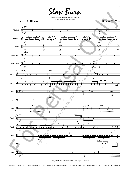Slow Burn

*Originally a collaboration between Sybarite5 and Black Diamond Burlesque* 

 $\mathsf{J} = 108$  **Bluesy** 

JESSICA MEYER



©2018 JMM Publishing (BMI). All rights reserved.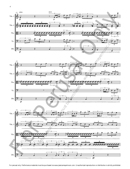

 $\overline{\mathbf{4}}$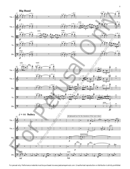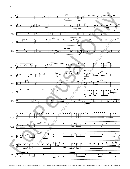

*ff*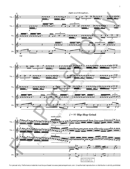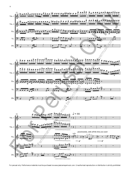



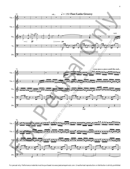